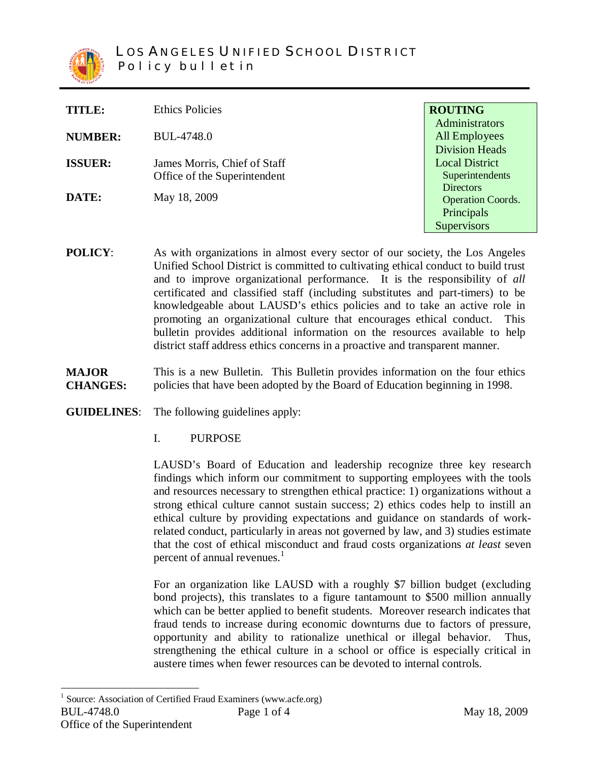

| TITLE:         | <b>Ethics Policies</b>                                       | <b>ROUTING</b>                                                                   |
|----------------|--------------------------------------------------------------|----------------------------------------------------------------------------------|
| <b>NUMBER:</b> | BUL-4748.0                                                   | Administrators<br>All Employees                                                  |
| <b>ISSUER:</b> | James Morris, Chief of Staff<br>Office of the Superintendent | <b>Division Heads</b><br><b>Local District</b><br>Superintendents                |
| DATE:          | May 18, 2009                                                 | <b>Directors</b><br><b>Operation Coords.</b><br>Principals<br><b>Supervisors</b> |

**POLICY:** As with organizations in almost every sector of our society, the Los Angeles Unified School District is committed to cultivating ethical conduct to build trust and to improve organizational performance. It is the responsibility of *all* certificated and classified staff (including substitutes and part-timers) to be knowledgeable about LAUSD's ethics policies and to take an active role in promoting an organizational culture that encourages ethical conduct. This bulletin provides additional information on the resources available to help district staff address ethics concerns in a proactive and transparent manner.

**MAJOR CHANGES:** This is a new Bulletin. This Bulletin provides information on the four ethics policies that have been adopted by the Board of Education beginning in 1998.

## **GUIDELINES**: The following guidelines apply:

I. PURPOSE

LAUSD's Board of Education and leadership recognize three key research findings which inform our commitment to supporting employees with the tools and resources necessary to strengthen ethical practice: 1) organizations without a strong ethical culture cannot sustain success; 2) ethics codes help to instill an ethical culture by providing expectations and guidance on standards of workrelated conduct, particularly in areas not governed by law, and 3) studies estimate that the cost of ethical misconduct and fraud costs organizations *at least* seven percent of annual revenues.<sup>1</sup>

For an organization like LAUSD with a roughly \$7 billion budget (excluding bond projects), this translates to a figure tantamount to \$500 million annually which can be better applied to benefit students. Moreover research indicates that fraud tends to increase during economic downturns due to factors of pressure, opportunity and ability to rationalize unethical or illegal behavior. Thus, strengthening the ethical culture in a school or office is especially critical in austere times when fewer resources can be devoted to internal controls.

BUL-4748.0 **Page 1 of 4** May 18, 2009 Office of the Superintendent <sup>1</sup> Source: Association of Certified Fraud Examiners [\(www.acfe.org\)](http://www.acfe.org/)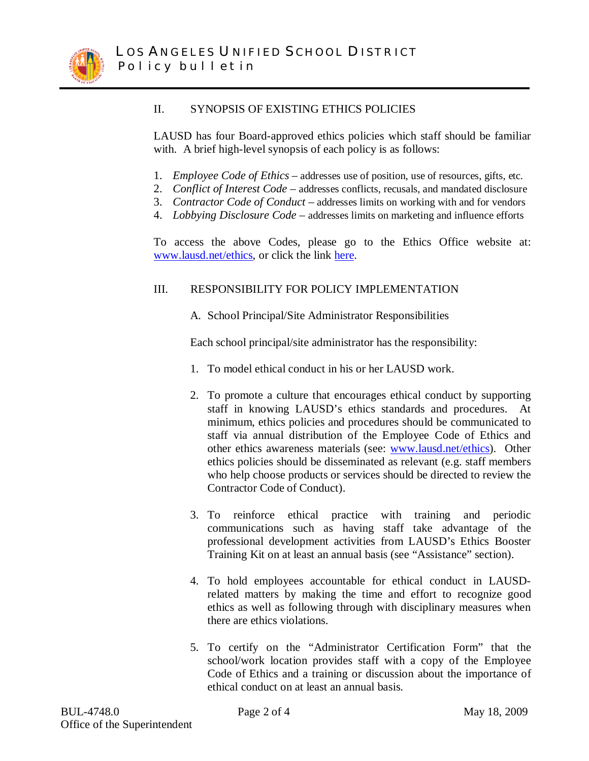

## II. SYNOPSIS OF EXISTING ETHICS POLICIES

LAUSD has four Board-approved ethics policies which staff should be familiar with. A brief high-level synopsis of each policy is as follows:

- 1. *Employee Code of Ethics* addresses use of position, use of resources, gifts, etc.
- 2. *Conflict of Interest Code* addresses conflicts, recusals, and mandated disclosure
- 3. *Contractor Code of Conduct* addresses limits on working with and for vendors
- 4. *Lobbying Disclosure Code* addresses limits on marketing and influence efforts

To access the above Codes, please go to the Ethics Office website at: [www.lausd.net/ethics,](http://www.lausd.net/ethics) or click the link [here.](http://ethics.lausd.net/default.asp?Page=home_resources_02)

## III. RESPONSIBILITY FOR POLICY IMPLEMENTATION

A. School Principal/Site Administrator Responsibilities

Each school principal/site administrator has the responsibility:

- 1. To model ethical conduct in his or her LAUSD work.
- 2. To promote a culture that encourages ethical conduct by supporting staff in knowing LAUSD's ethics standards and procedures. At minimum, ethics policies and procedures should be communicated to staff via annual distribution of the Employee Code of Ethics and other ethics awareness materials (see: [www.lausd.net/ethics\).](http://www.lausd.net/ethics).) Other ethics policies should be disseminated as relevant (e.g. staff members who help choose products or services should be directed to review the Contractor Code of Conduct).
- 3. To reinforce ethical practice with training and periodic communications such as having staff take advantage of the professional development activities from LAUSD's Ethics Booster Training Kit on at least an annual basis (see "Assistance" section).
- 4. To hold employees accountable for ethical conduct in LAUSDrelated matters by making the time and effort to recognize good ethics as well as following through with disciplinary measures when there are ethics violations.
- 5. To certify on the "Administrator Certification Form" that the school/work location provides staff with a copy of the Employee Code of Ethics and a training or discussion about the importance of ethical conduct on at least an annual basis.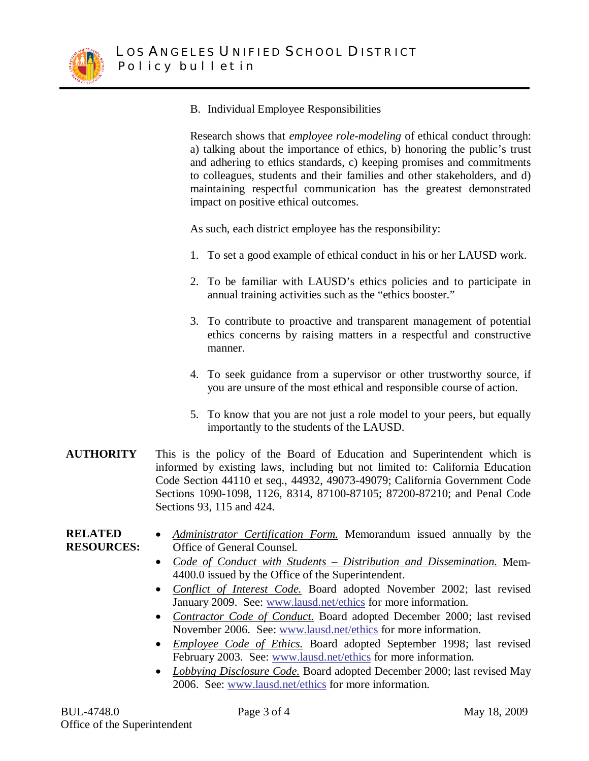

B. Individual Employee Responsibilities

Research shows that *employee role-modeling* of ethical conduct through: a) talking about the importance of ethics, b) honoring the public's trust and adhering to ethics standards, c) keeping promises and commitments to colleagues, students and their families and other stakeholders, and d) maintaining respectful communication has the greatest demonstrated impact on positive ethical outcomes.

As such, each district employee has the responsibility:

- 1. To set a good example of ethical conduct in his or her LAUSD work.
- 2. To be familiar with LAUSD's ethics policies and to participate in annual training activities such as the "ethics booster."
- 3. To contribute to proactive and transparent management of potential ethics concerns by raising matters in a respectful and constructive manner.
- 4. To seek guidance from a supervisor or other trustworthy source, if you are unsure of the most ethical and responsible course of action.
- 5. To know that you are not just a role model to your peers, but equally importantly to the students of the LAUSD.
- **AUTHORITY** This is the policy of the Board of Education and Superintendent which is informed by existing laws, including but not limited to: California Education Code Section 44110 et seq., 44932, 49073-49079; California Government Code Sections 1090-1098, 1126, 8314, 87100-87105; 87200-87210; and Penal Code Sections 93, 115 and 424.
- **RELATED RESOURCES:** • *Administrator Certification Form.* Memorandum issued annually by the Office of General Counsel.
	- x *Code of Conduct with Students Distribution and Dissemination.* Mem-4400.0 issued by the Office of the Superintendent.
	- x *Conflict of Interest Code.* Board adopted November 2002; last revised January 2009. See: [www.lausd.net/ethics](http://www.lausd.net/ethics) for more information.
	- *Contractor Code of Conduct*. Board adopted December 2000; last revised November 2006. See: [www.lausd.net/ethics](http://www.lausd.net/ethics) for more information.
	- x *Employee Code of Ethics.* Board adopted September 1998; last revised February 2003. See: [www.lausd.net/ethics](http://www.lausd.net/ethics) for more information.
	- *Lobbying Disclosure Code*. Board adopted December 2000; last revised May 2006. See: [www.lausd.net/ethics](http://www.lausd.net/ethics) for more information.